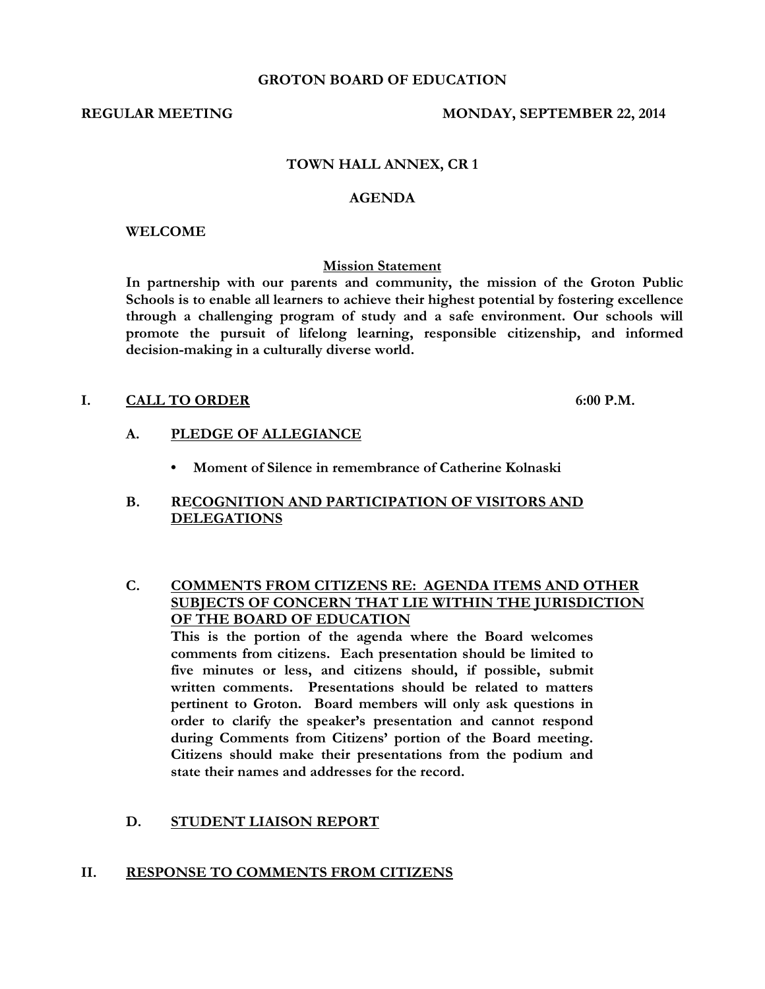#### **GROTON BOARD OF EDUCATION**

#### **REGULAR MEETING MONDAY, SEPTEMBER 22, 2014**

## **TOWN HALL ANNEX, CR 1**

#### **AGENDA**

#### **WELCOME**

#### **Mission Statement**

**In partnership with our parents and community, the mission of the Groton Public Schools is to enable all learners to achieve their highest potential by fostering excellence through a challenging program of study and a safe environment. Our schools will promote the pursuit of lifelong learning, responsible citizenship, and informed decision-making in a culturally diverse world.**

## **I. CALL TO ORDER 6:00 P.M.**

- **A. PLEDGE OF ALLEGIANCE**
	- **Moment of Silence in remembrance of Catherine Kolnaski**

## **B. RECOGNITION AND PARTICIPATION OF VISITORS AND DELEGATIONS**

**C. COMMENTS FROM CITIZENS RE: AGENDA ITEMS AND OTHER SUBJECTS OF CONCERN THAT LIE WITHIN THE JURISDICTION OF THE BOARD OF EDUCATION**

**This is the portion of the agenda where the Board welcomes comments from citizens. Each presentation should be limited to five minutes or less, and citizens should, if possible, submit written comments. Presentations should be related to matters pertinent to Groton. Board members will only ask questions in order to clarify the speaker's presentation and cannot respond during Comments from Citizens' portion of the Board meeting. Citizens should make their presentations from the podium and state their names and addresses for the record.**

### **D. STUDENT LIAISON REPORT**

### **II. RESPONSE TO COMMENTS FROM CITIZENS**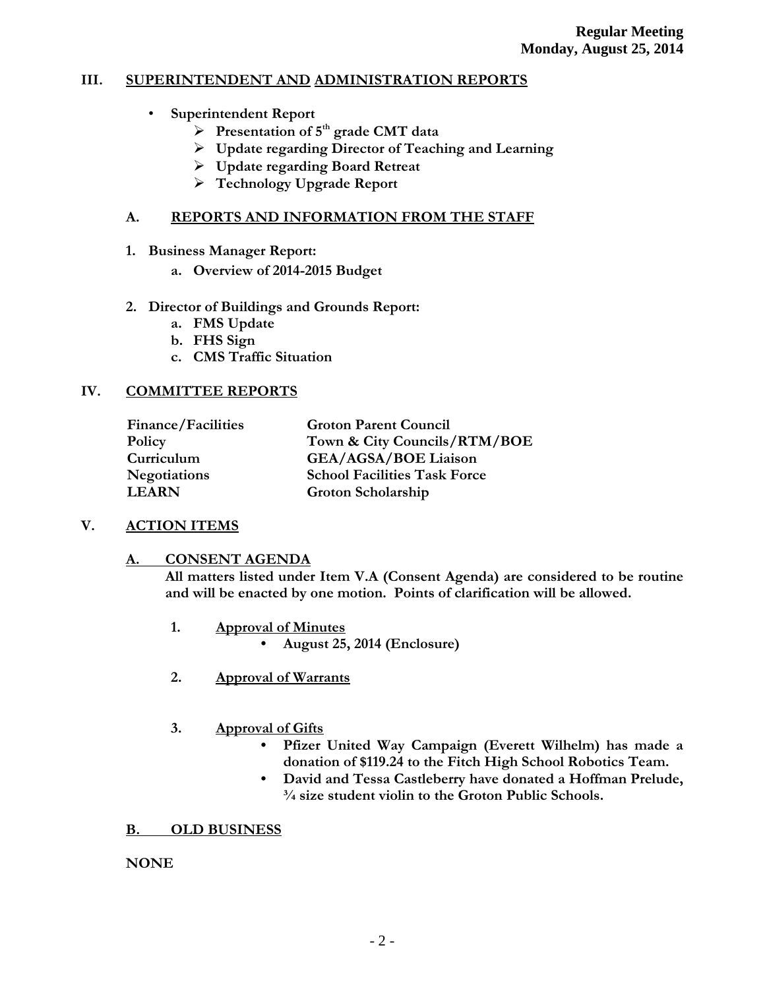# **III. SUPERINTENDENT AND ADMINISTRATION REPORTS**

- **Superintendent Report**
	- **Presentation of 5th grade CMT data**
	- **Update regarding Director of Teaching and Learning**
	- **Update regarding Board Retreat**
	- **Technology Upgrade Report**

# **A. REPORTS AND INFORMATION FROM THE STAFF**

- **1. Business Manager Report:**
	- **a. Overview of 2014-2015 Budget**
- **2. Director of Buildings and Grounds Report:**
	- **a. FMS Update**
	- **b. FHS Sign**
	- **c. CMS Traffic Situation**

# **IV. COMMITTEE REPORTS**

| <b>Finance/Facilities</b> | <b>Groton Parent Council</b>        |  |
|---------------------------|-------------------------------------|--|
| Policy                    | Town & City Councils/RTM/BOE        |  |
| Curriculum                | <b>GEA/AGSA/BOE Liaison</b>         |  |
| <b>Negotiations</b>       | <b>School Facilities Task Force</b> |  |
| <b>LEARN</b>              | Groton Scholarship                  |  |

# **V. ACTION ITEMS**

# **A. CONSENT AGENDA**

**All matters listed under Item V.A (Consent Agenda) are considered to be routine and will be enacted by one motion. Points of clarification will be allowed.**

- **1. Approval of Minutes • August 25, 2014 (Enclosure)**
- **2. Approval of Warrants**

# **3. Approval of Gifts**

- **Pfizer United Way Campaign (Everett Wilhelm) has made a donation of \$119.24 to the Fitch High School Robotics Team.**
- **David and Tessa Castleberry have donated a Hoffman Prelude, ¾ size student violin to the Groton Public Schools.**

# **B. OLD BUSINESS**

**NONE**